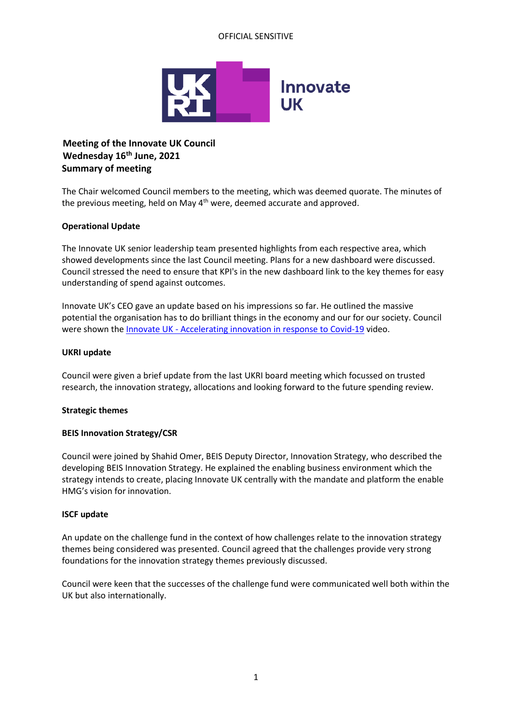## OFFICIAL SENSITIVE



# **Meeting of the Innovate UK Council Wednesday 16th June, 2021 Summary of meeting**

The Chair welcomed Council members to the meeting, which was deemed quorate. The minutes of the previous meeting, held on May  $4<sup>th</sup>$  were, deemed accurate and approved.

## **Operational Update**

The Innovate UK senior leadership team presented highlights from each respective area, which showed developments since the last Council meeting. Plans for a new dashboard were discussed. Council stressed the need to ensure that KPI's in the new dashboard link to the key themes for easy understanding of spend against outcomes.

Innovate UK's CEO gave an update based on his impressions so far. He outlined the massive potential the organisation has to do brilliant things in the economy and our for our society. Council were shown the Innovate UK - [Accelerating innovation in response to Covid-19](https://www.youtube.com/watch?v=rDls1R0wOtY&list=PLrMOhOrmeR6l0TgKW4AAsaj7PyBuPoyS1&index=12) video.

#### **UKRI update**

Council were given a brief update from the last UKRI board meeting which focussed on trusted research, the innovation strategy, allocations and looking forward to the future spending review.

#### **Strategic themes**

#### **BEIS Innovation Strategy/CSR**

Council were joined by Shahid Omer, BEIS Deputy Director, Innovation Strategy, who described the developing BEIS Innovation Strategy. He explained the enabling business environment which the strategy intends to create, placing Innovate UK centrally with the mandate and platform the enable HMG's vision for innovation.

#### **ISCF update**

An update on the challenge fund in the context of how challenges relate to the innovation strategy themes being considered was presented. Council agreed that the challenges provide very strong foundations for the innovation strategy themes previously discussed.

Council were keen that the successes of the challenge fund were communicated well both within the UK but also internationally.